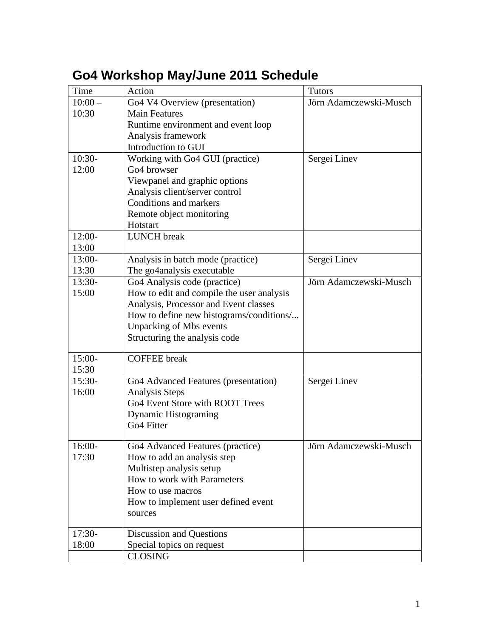# <span id="page-0-0"></span>**Go4 Workshop May/June 2011 Schedule**

| Time     | Action                                    | <b>Tutors</b>          |
|----------|-------------------------------------------|------------------------|
| $10:00-$ | Go4 V4 Overview (presentation)            | Jörn Adamczewski-Musch |
| 10:30    | <b>Main Features</b>                      |                        |
|          | Runtime environment and event loop        |                        |
|          | Analysis framework                        |                        |
|          | Introduction to GUI                       |                        |
| $10:30-$ | Working with Go4 GUI (practice)           | Sergei Linev           |
| 12:00    | Go <sub>4</sub> browser                   |                        |
|          | Viewpanel and graphic options             |                        |
|          | Analysis client/server control            |                        |
|          | Conditions and markers                    |                        |
|          | Remote object monitoring                  |                        |
|          | Hotstart                                  |                        |
| $12:00-$ | <b>LUNCH</b> break                        |                        |
| 13:00    |                                           |                        |
| $13:00-$ | Analysis in batch mode (practice)         | Sergei Linev           |
| 13:30    | The go4analysis executable                |                        |
| $13:30-$ | Go <sub>4</sub> Analysis code (practice)  | Jörn Adamczewski-Musch |
| 15:00    | How to edit and compile the user analysis |                        |
|          | Analysis, Processor and Event classes     |                        |
|          | How to define new histograms/conditions/  |                        |
|          | <b>Unpacking of Mbs events</b>            |                        |
|          | Structuring the analysis code             |                        |
|          |                                           |                        |
| $15:00-$ | <b>COFFEE</b> break                       |                        |
| 15:30    |                                           |                        |
| $15:30-$ | Go4 Advanced Features (presentation)      | Sergei Linev           |
| 16:00    | <b>Analysis Steps</b>                     |                        |
|          | Go4 Event Store with ROOT Trees           |                        |
|          | <b>Dynamic Histograming</b>               |                        |
|          | Go <sub>4</sub> Fitter                    |                        |
|          |                                           |                        |
| 16:00-   | Go4 Advanced Features (practice)          | Jörn Adamczewski-Musch |
| 17:30    | How to add an analysis step               |                        |
|          | Multistep analysis setup                  |                        |
|          | How to work with Parameters               |                        |
|          | How to use macros                         |                        |
|          | How to implement user defined event       |                        |
|          | sources                                   |                        |
|          |                                           |                        |
| $17:30-$ | Discussion and Questions                  |                        |
| 18:00    | Special topics on request                 |                        |
|          | <b>CLOSING</b>                            |                        |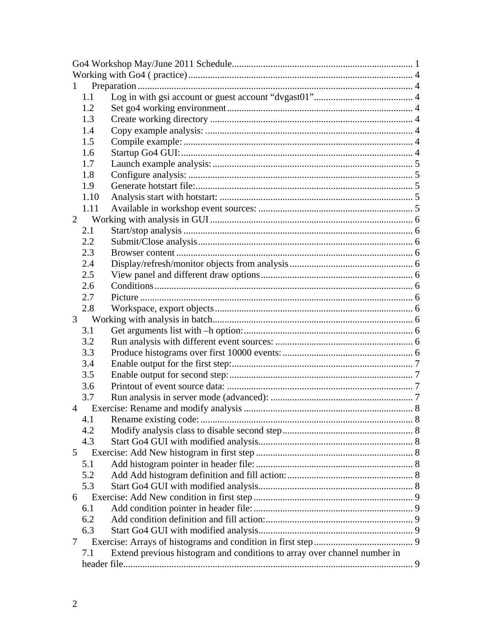| 1              |      |                                                                          |  |  |  |
|----------------|------|--------------------------------------------------------------------------|--|--|--|
|                | 1.1  |                                                                          |  |  |  |
|                | 1.2  |                                                                          |  |  |  |
|                | 1.3  |                                                                          |  |  |  |
|                | 1.4  |                                                                          |  |  |  |
|                | 1.5  |                                                                          |  |  |  |
|                | 1.6  |                                                                          |  |  |  |
|                | 1.7  |                                                                          |  |  |  |
|                | 1.8  |                                                                          |  |  |  |
|                | 1.9  |                                                                          |  |  |  |
|                | 1.10 |                                                                          |  |  |  |
|                | 1.11 |                                                                          |  |  |  |
| $\overline{2}$ |      |                                                                          |  |  |  |
|                | 2.1  |                                                                          |  |  |  |
|                | 2.2  |                                                                          |  |  |  |
|                | 2.3  |                                                                          |  |  |  |
|                | 2.4  |                                                                          |  |  |  |
|                | 2.5  |                                                                          |  |  |  |
|                | 2.6  |                                                                          |  |  |  |
|                | 2.7  |                                                                          |  |  |  |
|                | 2.8  |                                                                          |  |  |  |
| 3              |      |                                                                          |  |  |  |
|                | 3.1  |                                                                          |  |  |  |
|                | 3.2  |                                                                          |  |  |  |
|                | 3.3  |                                                                          |  |  |  |
|                | 3.4  |                                                                          |  |  |  |
|                | 3.5  |                                                                          |  |  |  |
|                | 3.6  |                                                                          |  |  |  |
|                | 3.7  |                                                                          |  |  |  |
| $\overline{4}$ |      |                                                                          |  |  |  |
|                | 4.1  |                                                                          |  |  |  |
|                | 4.2  |                                                                          |  |  |  |
|                | 4.3  |                                                                          |  |  |  |
| 5              |      |                                                                          |  |  |  |
|                | 5.1  |                                                                          |  |  |  |
|                | 5.2  |                                                                          |  |  |  |
|                | 5.3  |                                                                          |  |  |  |
| 6              |      |                                                                          |  |  |  |
|                | 6.1  |                                                                          |  |  |  |
|                |      |                                                                          |  |  |  |
|                | 6.2  |                                                                          |  |  |  |
|                | 6.3  |                                                                          |  |  |  |
| 7              |      |                                                                          |  |  |  |
|                | 7.1  | Extend previous histogram and conditions to array over channel number in |  |  |  |
|                |      |                                                                          |  |  |  |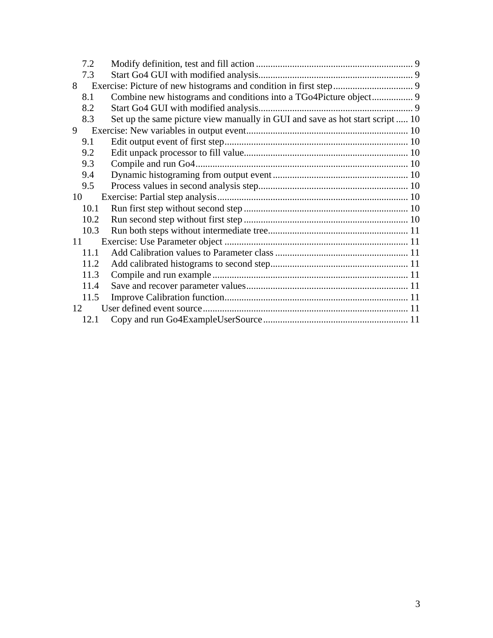| 7.2  |                                                                              |  |
|------|------------------------------------------------------------------------------|--|
| 7.3  |                                                                              |  |
| 8    |                                                                              |  |
| 8.1  |                                                                              |  |
| 8.2  |                                                                              |  |
| 8.3  | Set up the same picture view manually in GUI and save as hot start script 10 |  |
| 9    |                                                                              |  |
| 9.1  |                                                                              |  |
| 9.2  |                                                                              |  |
| 9.3  |                                                                              |  |
| 9.4  |                                                                              |  |
| 9.5  |                                                                              |  |
| 10   |                                                                              |  |
| 10.1 |                                                                              |  |
| 10.2 |                                                                              |  |
| 10.3 |                                                                              |  |
| 11   |                                                                              |  |
| 11.1 |                                                                              |  |
| 11.2 |                                                                              |  |
| 11.3 |                                                                              |  |
| 11.4 |                                                                              |  |
| 11.5 |                                                                              |  |
| 12   |                                                                              |  |
| 12.1 |                                                                              |  |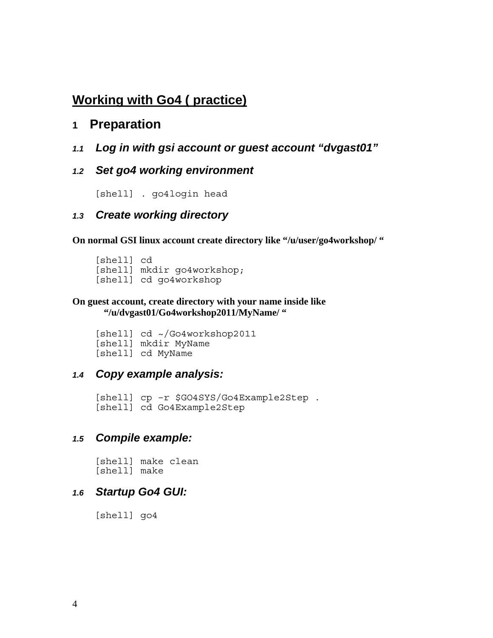## <span id="page-3-0"></span>**Working with Go4 ( practice)**

### **1 Preparation**

*1.1 Log in with gsi account or guest account "dvgast01"* 

#### *1.2 Set go4 working environment*

[shell] . go4login head

#### *1.3 Create working directory*

**On normal GSI linux account create directory like "/u/user/go4workshop/ "** 

[shell] cd [shell] mkdir go4workshop; [shell] cd go4workshop

#### **On guest account, create directory with your name inside like "/u/dvgast01/Go4workshop2011/MyName/ "**

[shell] cd ~/Go4workshop2011 [shell] mkdir MyName [shell] cd MyName

#### *1.4 Copy example analysis:*

[shell] cp –r \$GO4SYS/Go4Example2Step . [shell] cd Go4Example2Step

#### *1.5 Compile example:*

[shell] make clean [shell] make

#### *1.6 Startup Go4 GUI:*

[shell] go4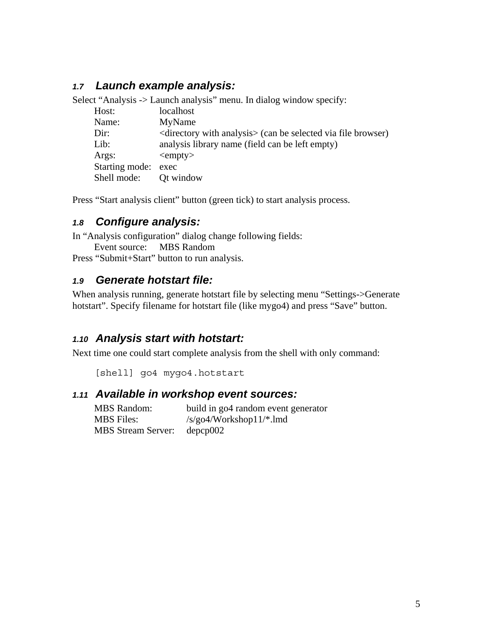### <span id="page-4-0"></span>*1.7 Launch example analysis:*

Select "Analysis -> Launch analysis" menu. In dialog window specify:

| Host:               | localhost                                                              |
|---------------------|------------------------------------------------------------------------|
| Name:               | MyName                                                                 |
| Dir:                | $\le$ directory with analysis $\ge$ (can be selected via file browser) |
| Lib:                | analysis library name (field can be left empty)                        |
| Args:               | $\langle \text{empty} \rangle$                                         |
| Starting mode: exec |                                                                        |
| Shell mode:         | Ot window                                                              |

Press "Start analysis client" button (green tick) to start analysis process.

#### *1.8 Configure analysis:*

In "Analysis configuration" dialog change following fields: Event source: MBS Random

Press "Submit+Start" button to run analysis.

#### *1.9 Generate hotstart file:*

When analysis running, generate hotstart file by selecting menu "Settings->Generate hotstart". Specify filename for hotstart file (like mygo4) and press "Save" button.

#### *1.10 Analysis start with hotstart:*

Next time one could start complete analysis from the shell with only command:

```
[shell] go4 mygo4.hotstart
```
#### *1.11 Available in workshop event sources:*

MBS Random: build in go4 random event generator MBS Files: /s/go4/Workshop11/\*.lmd MBS Stream Server: depcp002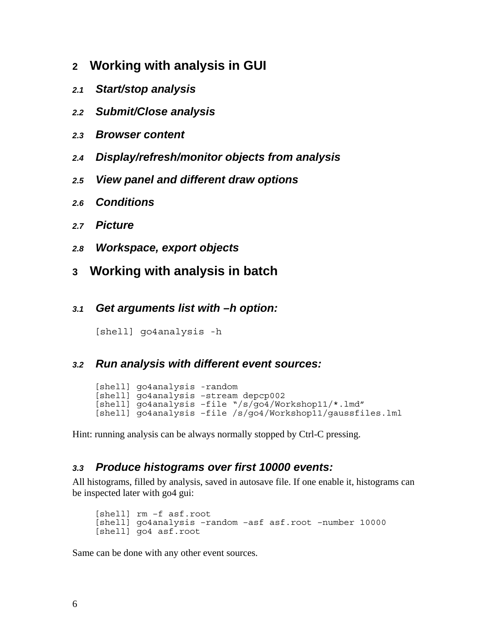- <span id="page-5-0"></span>**2 Working with analysis in GUI**
- *2.1 Start/stop analysis*
- *2.2 Submit/Close analysis*
- *2.3 Browser content*
- *2.4 Display/refresh/monitor objects from analysis*
- *2.5 View panel and different draw options*
- *2.6 Conditions*
- *2.7 Picture*
- *2.8 Workspace, export objects*
- **3 Working with analysis in batch**
- *3.1 Get arguments list with –h option:*

[shell] go4analysis -h

#### *3.2 Run analysis with different event sources:*

[shell] go4analysis -random [shell] go4analysis –stream depcp002 [shell] go4analysis –file "/s/go4/Workshop11/\*.lmd" [shell] go4analysis –file /s/go4/Workshop11/gaussfiles.lml

Hint: running analysis can be always normally stopped by Ctrl-C pressing.

#### *3.3 Produce histograms over first 10000 events:*

All histograms, filled by analysis, saved in autosave file. If one enable it, histograms can be inspected later with go4 gui:

[shell] rm –f asf.root [shell] go4analysis –random –asf asf.root –number 10000 [shell] go4 asf.root

Same can be done with any other event sources.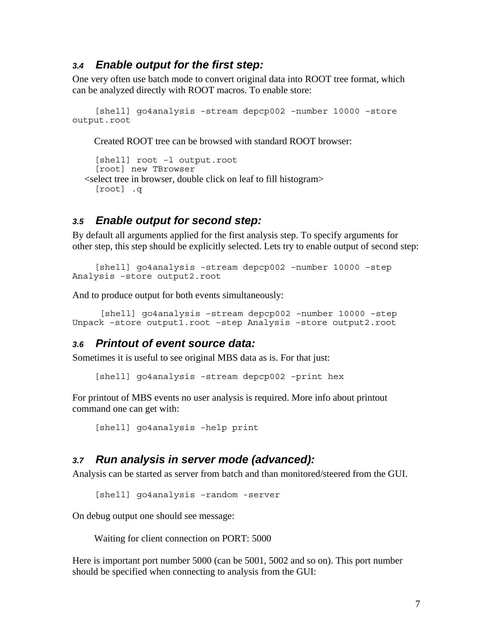#### <span id="page-6-0"></span>*3.4 Enable output for the first step:*

One very often use batch mode to convert original data into ROOT tree format, which can be analyzed directly with ROOT macros. To enable store:

```
[shell] go4analysis –stream depcp002 –number 10000 –store 
output.root
```
Created ROOT tree can be browsed with standard ROOT browser:

```
[shell] root –l output.root 
  [root] new TBrowser 
 <select tree in browser, double click on leaf to fill histogram> 
  [root] .q
```
#### *3.5 Enable output for second step:*

By default all arguments applied for the first analysis step. To specify arguments for other step, this step should be explicitly selected. Lets try to enable output of second step:

```
[shell] go4analysis –stream depcp002 –number 10000 –step 
Analysis –store output2.root
```
And to produce output for both events simultaneously:

```
 [shell] go4analysis –stream depcp002 –number 10000 –step 
Unpack –store output1.root –step Analysis –store output2.root
```
#### *3.6 Printout of event source data:*

Sometimes it is useful to see original MBS data as is. For that just:

[shell] go4analysis –stream depcp002 –print hex

For printout of MBS events no user analysis is required. More info about printout command one can get with:

```
[shell] go4analysis –help print
```
#### *3.7 Run analysis in server mode (advanced):*

Analysis can be started as server from batch and than monitored/steered from the GUI.

```
[shell] go4analysis –random -server
```
On debug output one should see message:

Waiting for client connection on PORT: 5000

Here is important port number 5000 (can be 5001, 5002 and so on). This port number should be specified when connecting to analysis from the GUI: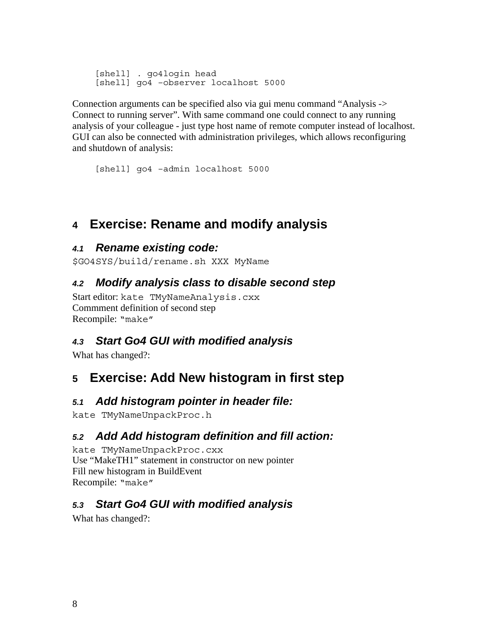<span id="page-7-0"></span>[shell] . go4login head [shell] go4 –observer localhost 5000

Connection arguments can be specified also via gui menu command "Analysis -> Connect to running server". With same command one could connect to any running analysis of your colleague - just type host name of remote computer instead of localhost. GUI can also be connected with administration privileges, which allows reconfiguring and shutdown of analysis:

```
[shell] go4 –admin localhost 5000
```
## **4 Exercise: Rename and modify analysis**

### *4.1 Rename existing code:*

\$GO4SYS/build/rename.sh XXX MyName

### *4.2 Modify analysis class to disable second step*

Start editor: kate TMyNameAnalysis.cxx Commment definition of second step Recompile: "make"

## *4.3 Start Go4 GUI with modified analysis*

What has changed?:

## **5 Exercise: Add New histogram in first step**

### *5.1 Add histogram pointer in header file:*

kate TMyNameUnpackProc.h

## *5.2 Add Add histogram definition and fill action:*

kate TMyNameUnpackProc.cxx Use "MakeTH1" statement in constructor on new pointer Fill new histogram in BuildEvent Recompile: "make"

## *5.3 Start Go4 GUI with modified analysis*

What has changed?: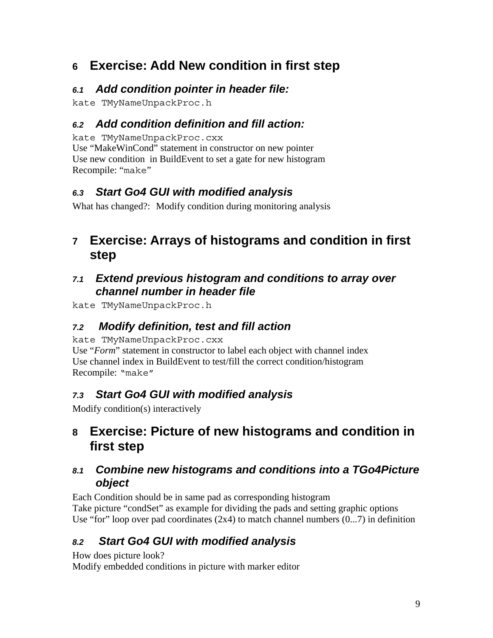## <span id="page-8-0"></span>**6 Exercise: Add New condition in first step**

## *6.1 Add condition pointer in header file:*

kate TMyNameUnpackProc.h

## *6.2 Add condition definition and fill action:*

kate TMyNameUnpackProc.cxx

Use "MakeWinCond" statement in constructor on new pointer Use new condition in BuildEvent to set a gate for new histogram Recompile: "make"

## *6.3 Start Go4 GUI with modified analysis*

What has changed?: Modify condition during monitoring analysis

## **7 Exercise: Arrays of histograms and condition in first step**

### *7.1 Extend previous histogram and conditions to array over channel number in header file*

kate TMyNameUnpackProc.h

## *7.2 Modify definition, test and fill action*

kate TMyNameUnpackProc.cxx

Use "*Form*" statement in constructor to label each object with channel index Use channel index in BuildEvent to test/fill the correct condition/histogram Recompile: "make"

## *7.3 Start Go4 GUI with modified analysis*

Modify condition(s) interactively

## **8 Exercise: Picture of new histograms and condition in first step**

## *8.1 Combine new histograms and conditions into a TGo4Picture object*

Each Condition should be in same pad as corresponding histogram Take picture "condSet" as example for dividing the pads and setting graphic options Use "for" loop over pad coordinates  $(2x4)$  to match channel numbers  $(0...7)$  in definition

## *8.2 Start Go4 GUI with modified analysis*

How does picture look?

Modify embedded conditions in picture with marker editor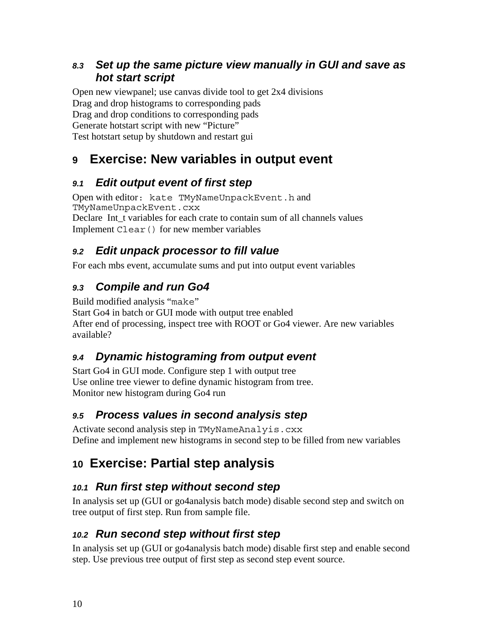### <span id="page-9-0"></span>*8.3 Set up the same picture view manually in GUI and save as hot start script*

Open new viewpanel; use canvas divide tool to get 2x4 divisions Drag and drop histograms to corresponding pads Drag and drop conditions to corresponding pads Generate hotstart script with new "Picture" Test hotstart setup by shutdown and restart gui

## **9 Exercise: New variables in output event**

## *9.1 Edit output event of first step*

Open with editor: kate TMyNameUnpackEvent.h and TMyNameUnpackEvent.cxx Declare Int t variables for each crate to contain sum of all channels values Implement Clear() for new member variables

## *9.2 Edit unpack processor to fill value*

For each mbs event, accumulate sums and put into output event variables

## *9.3 Compile and run Go4*

Build modified analysis "make"

Start Go4 in batch or GUI mode with output tree enabled After end of processing, inspect tree with ROOT or Go4 viewer. Are new variables available?

## *9.4 Dynamic histograming from output event*

Start Go4 in GUI mode. Configure step 1 with output tree Use online tree viewer to define dynamic histogram from tree. Monitor new histogram during Go4 run

## *9.5 Process values in second analysis step*

Activate second analysis step in TMyNameAnalyis.cxx Define and implement new histograms in second step to be filled from new variables

## **10 Exercise: Partial step analysis**

## *10.1 Run first step without second step*

In analysis set up (GUI or go4analysis batch mode) disable second step and switch on tree output of first step. Run from sample file.

### *10.2 Run second step without first step*

In analysis set up (GUI or go4analysis batch mode) disable first step and enable second step. Use previous tree output of first step as second step event source.